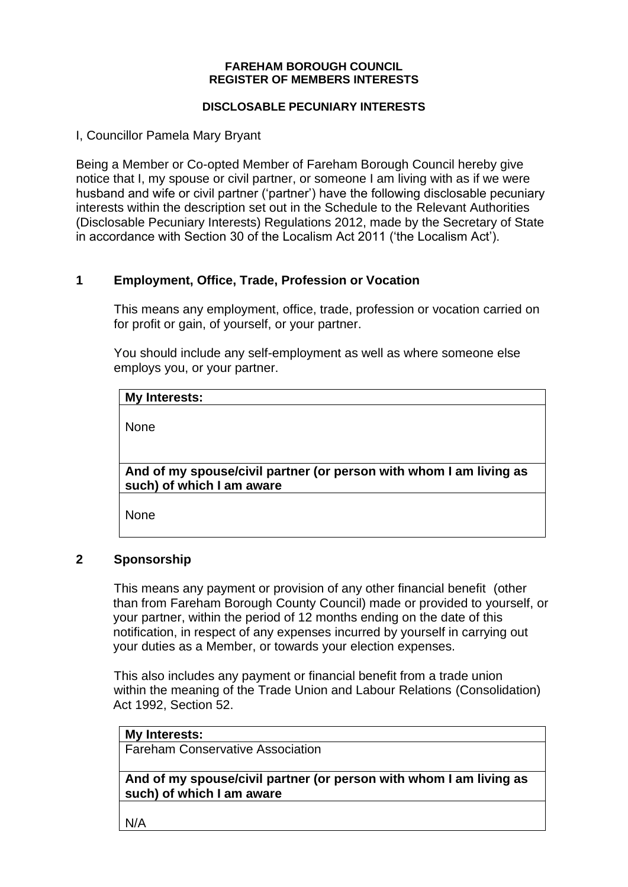#### **FAREHAM BOROUGH COUNCIL REGISTER OF MEMBERS INTERESTS**

#### **DISCLOSABLE PECUNIARY INTERESTS**

I, Councillor Pamela Mary Bryant

Being a Member or Co-opted Member of Fareham Borough Council hereby give notice that I, my spouse or civil partner, or someone I am living with as if we were husband and wife or civil partner ('partner') have the following disclosable pecuniary interests within the description set out in the Schedule to the Relevant Authorities (Disclosable Pecuniary Interests) Regulations 2012, made by the Secretary of State in accordance with Section 30 of the Localism Act 2011 ('the Localism Act').

# **1 Employment, Office, Trade, Profession or Vocation**

This means any employment, office, trade, profession or vocation carried on for profit or gain, of yourself, or your partner.

You should include any self-employment as well as where someone else employs you, or your partner.

| My Interests:                                                                                   |  |
|-------------------------------------------------------------------------------------------------|--|
| None                                                                                            |  |
| And of my spouse/civil partner (or person with whom I am living as<br>such) of which I am aware |  |
| None                                                                                            |  |

## **2 Sponsorship**

This means any payment or provision of any other financial benefit (other than from Fareham Borough County Council) made or provided to yourself, or your partner, within the period of 12 months ending on the date of this notification, in respect of any expenses incurred by yourself in carrying out your duties as a Member, or towards your election expenses.

This also includes any payment or financial benefit from a trade union within the meaning of the Trade Union and Labour Relations (Consolidation) Act 1992, Section 52.

|  | <b>My Interests:</b> |
|--|----------------------|
|  |                      |

Fareham Conservative Association

**And of my spouse/civil partner (or person with whom I am living as such) of which I am aware**

N/A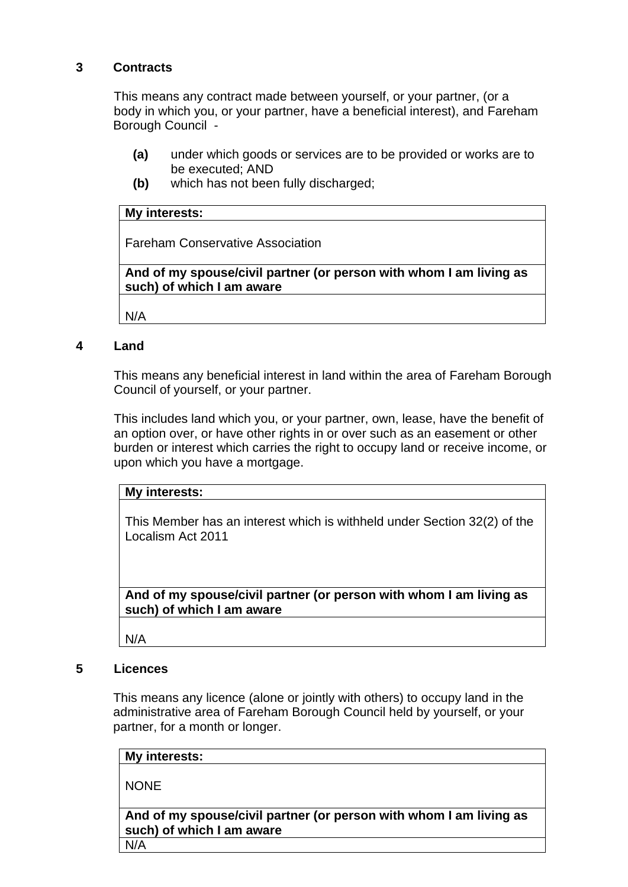# **3 Contracts**

This means any contract made between yourself, or your partner, (or a body in which you, or your partner, have a beneficial interest), and Fareham Borough Council -

- **(a)** under which goods or services are to be provided or works are to be executed; AND
- **(b)** which has not been fully discharged;

### **My interests:**

Fareham Conservative Association

**And of my spouse/civil partner (or person with whom I am living as such) of which I am aware**

N/A

### **4 Land**

This means any beneficial interest in land within the area of Fareham Borough Council of yourself, or your partner.

This includes land which you, or your partner, own, lease, have the benefit of an option over, or have other rights in or over such as an easement or other burden or interest which carries the right to occupy land or receive income, or upon which you have a mortgage.

|  | My interests: |
|--|---------------|
|--|---------------|

This Member has an interest which is withheld under Section 32(2) of the Localism Act 2011

**And of my spouse/civil partner (or person with whom I am living as such) of which I am aware**

N/A

## **5 Licences**

This means any licence (alone or jointly with others) to occupy land in the administrative area of Fareham Borough Council held by yourself, or your partner, for a month or longer.

| My interests:                                                                                   |  |
|-------------------------------------------------------------------------------------------------|--|
| <b>NONE</b>                                                                                     |  |
| And of my spouse/civil partner (or person with whom I am living as<br>such) of which I am aware |  |
| N/A                                                                                             |  |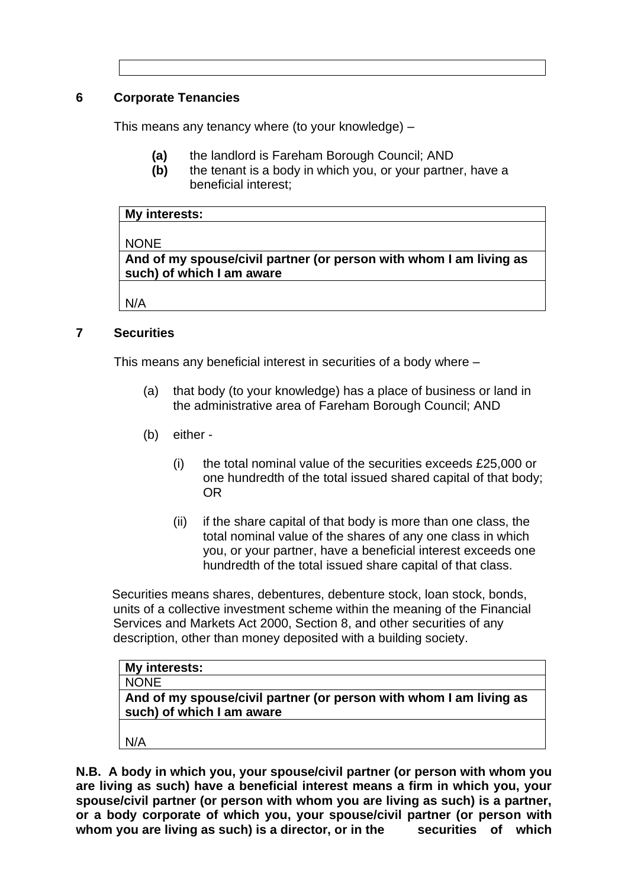# **6 Corporate Tenancies**

This means any tenancy where (to your knowledge) –

- **(a)** the landlord is Fareham Borough Council; AND
- **(b)** the tenant is a body in which you, or your partner, have a beneficial interest;

#### **My interests:**

NONE

**And of my spouse/civil partner (or person with whom I am living as such) of which I am aware**

N/A

## **7 Securities**

This means any beneficial interest in securities of a body where –

- (a) that body (to your knowledge) has a place of business or land in the administrative area of Fareham Borough Council; AND
- (b) either
	- (i) the total nominal value of the securities exceeds £25,000 or one hundredth of the total issued shared capital of that body; OR
	- (ii) if the share capital of that body is more than one class, the total nominal value of the shares of any one class in which you, or your partner, have a beneficial interest exceeds one hundredth of the total issued share capital of that class.

Securities means shares, debentures, debenture stock, loan stock, bonds, units of a collective investment scheme within the meaning of the Financial Services and Markets Act 2000, Section 8, and other securities of any description, other than money deposited with a building society.

| My interests:                                                                                   |
|-------------------------------------------------------------------------------------------------|
| <b>NONE</b>                                                                                     |
| And of my spouse/civil partner (or person with whom I am living as<br>such) of which I am aware |
| N/A                                                                                             |

**N.B. A body in which you, your spouse/civil partner (or person with whom you are living as such) have a beneficial interest means a firm in which you, your spouse/civil partner (or person with whom you are living as such) is a partner, or a body corporate of which you, your spouse/civil partner (or person with**  whom you are living as such) is a director, or in the securities of which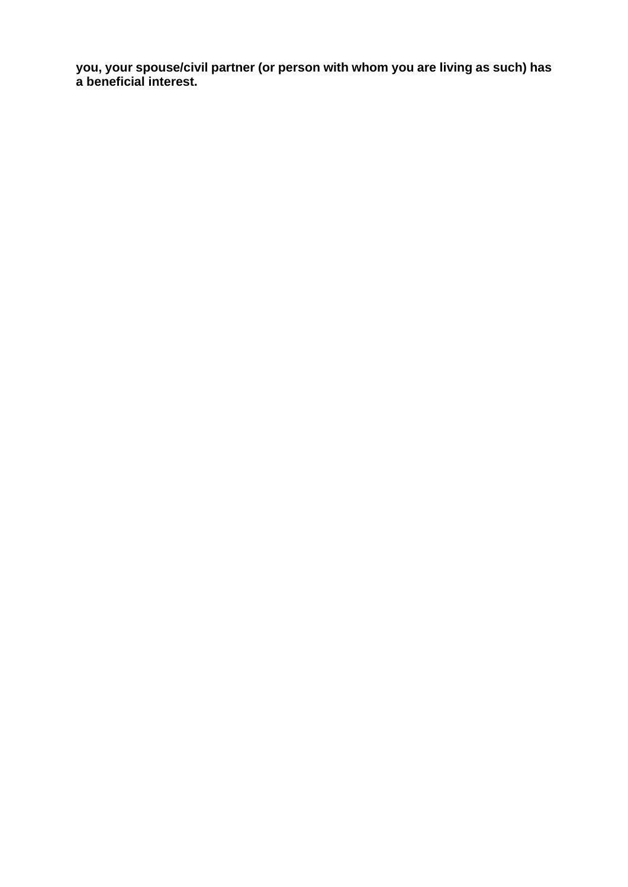**you, your spouse/civil partner (or person with whom you are living as such) has a beneficial interest.**